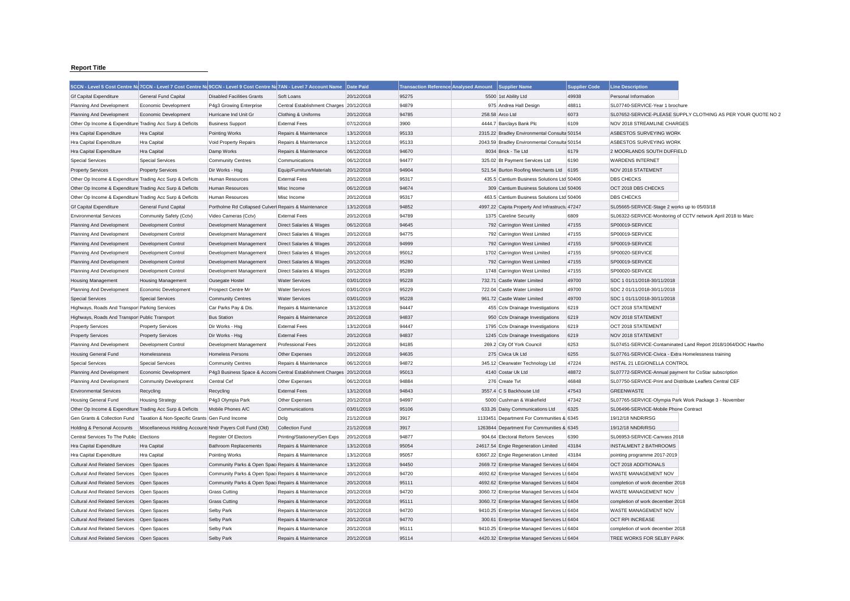## **Report Title**

|                                                           |                                                            | 5CCN - Level 5 Cost Centre Na 7CCN - Level 7 Cost Centre Na 9CCN - Level 9 Cost Centre Na 7AN - Level 7 Account Name |                                          | Date Paid  | <b>Transaction Reference Analysed Amount</b> | <b>Supplier Name</b>                           | <b>Supplier Code</b> | <b>Line Description</b>                                   |                                                               |
|-----------------------------------------------------------|------------------------------------------------------------|----------------------------------------------------------------------------------------------------------------------|------------------------------------------|------------|----------------------------------------------|------------------------------------------------|----------------------|-----------------------------------------------------------|---------------------------------------------------------------|
| <b>Gf Capital Expenditure</b>                             | General Fund Capital                                       | <b>Disabled Facilities Grants</b>                                                                                    | Soft Loans                               | 20/12/2018 | 95275                                        | 5500 1st Ability Ltd                           | 49938                | Personal Information                                      |                                                               |
| Planning And Development                                  | Economic Development                                       | P4g3 Growing Enterprise                                                                                              | Central Establishment Charges 20/12/2018 |            | 94879                                        | 975 Andrea Hall Design                         | 48811                | SL07740-SERVICE-Year 1 brochure                           |                                                               |
| Planning And Development                                  | Economic Development                                       | Hurricane Ind Unit Gr                                                                                                | Clothing & Uniforms                      | 20/12/2018 | 94785                                        | 258.58 Arco Ltd                                | 6073                 |                                                           | SL07652-SERVICE-PLEASE SUPPLY CLOTHING AS PER YOUR QUOTE NO 2 |
| Other Op Income & Expenditure Trading Acc Surp & Deficits |                                                            | <b>Business Support</b>                                                                                              | <b>External Fees</b>                     | 07/12/2018 | 3900                                         | 4444.7 Barclays Bank Plc                       | 6109                 | NOV 2018 STREAMLINE CHARGES                               |                                                               |
| Hra Capital Expenditure                                   | <b>Hra Capital</b>                                         | Pointing Works                                                                                                       | Repairs & Maintenance                    | 13/12/2018 | 95133                                        | 2315.22 Bradley Environmental Consulta 50154   |                      | ASBESTOS SURVEYING WORK                                   |                                                               |
| Hra Capital Expenditure                                   | Hra Capital                                                | Void Property Repairs                                                                                                | Repairs & Maintenance                    | 13/12/2018 | 95133                                        | 2043.59 Bradley Environmental Consulta 50154   |                      | ASBESTOS SURVEYING WORK                                   |                                                               |
| Hra Capital Expenditure                                   | Hra Capital                                                | Damp Works                                                                                                           | Repairs & Maintenance                    | 06/12/2018 | 94670                                        | 8034 Brick - Tie Ltd                           | 6179                 | 2 MOORLANDS SOUTH DUFFIELD                                |                                                               |
| <b>Special Services</b>                                   | <b>Special Services</b>                                    | <b>Community Centres</b>                                                                                             | Communications                           | 06/12/2018 | 94477                                        | 325.02 Bt Payment Services Ltd                 | 6190                 | <b>WARDENS INTERNET</b>                                   |                                                               |
| <b>Property Services</b>                                  | <b>Property Services</b>                                   | Dir Works - Hsg                                                                                                      | Equip/Furniture/Materials                | 20/12/2018 | 94904                                        | 521.54 Burton Roofing Merchants Ltd            | 6195                 | NOV 2018 STATEMENT                                        |                                                               |
| Other Op Income & Expenditure Trading Acc Surp & Deficits |                                                            | Human Resources                                                                                                      | <b>External Fees</b>                     | 20/12/2018 | 95317                                        | 435.5 Cantium Business Solutions Ltd 50406     |                      | <b>DBS CHECKS</b>                                         |                                                               |
| Other Op Income & Expenditure Trading Acc Surp & Deficits |                                                            | Human Resources                                                                                                      | Misc Income                              | 06/12/2018 | 94674                                        | 309 Cantium Business Solutions Ltd 50406       |                      | OCT 2018 DBS CHECKS                                       |                                                               |
| Other Op Income & Expenditure Trading Acc Surp & Deficits |                                                            | Human Resources                                                                                                      | Misc Income                              | 20/12/2018 | 95317                                        | 463.5 Cantium Business Solutions Ltd 50406     |                      | <b>DBS CHECKS</b>                                         |                                                               |
| <b>Gf Capital Expenditure</b>                             | General Fund Capital                                       | Portholme Rd Collapsed Culverl Repairs & Maintenance                                                                 |                                          | 13/12/2018 | 94852                                        | 4997.22 Capita Property And Infrastructu 47247 |                      | SL05665-SERVICE-Stage 2 works up to 05/03/18              |                                                               |
| <b>Environmental Services</b>                             | Community Safety (Cctv)                                    | Video Cameras (Cctv)                                                                                                 | <b>External Fees</b>                     | 20/12/2018 | 94789                                        | 1375 Careline Security                         | 6809                 |                                                           | SL06322-SERVICE-Monitoring of CCTV network April 2018 to Marc |
| Planning And Development                                  | Development Control                                        | Development Management                                                                                               | Direct Salaries & Wages                  | 06/12/2018 | 94645                                        | 792 Carrington West Limited                    | 47155                | SP00019-SERVICE                                           |                                                               |
| Planning And Development                                  | Development Control                                        | Development Management                                                                                               | Direct Salaries & Wages                  | 20/12/2018 | 94775                                        | 792 Carrington West Limited                    | 47155                | SP00019-SERVICE                                           |                                                               |
| Planning And Development                                  | Development Control                                        | Development Management                                                                                               | Direct Salaries & Wages                  | 20/12/2018 | 94999                                        | 792 Carrington West Limited                    | 47155                | SP00019-SERVICE                                           |                                                               |
| Planning And Development                                  | Development Control                                        | Development Management                                                                                               | Direct Salaries & Wages                  | 20/12/2018 | 95012                                        | 1702 Carrington West Limited                   | 47155                | SP00020-SERVICE                                           |                                                               |
| Planning And Development                                  | Development Control                                        | Development Management                                                                                               | Direct Salaries & Wages                  | 20/12/2018 | 95280                                        | 792 Carrington West Limited                    | 47155                | SP00019-SERVICE                                           |                                                               |
| Planning And Development                                  | Development Control                                        | Development Management                                                                                               | Direct Salaries & Wages                  | 20/12/2018 | 95289                                        | 1748 Carrington West Limited                   | 47155                | SP00020-SERVICE                                           |                                                               |
| <b>Housing Management</b>                                 | <b>Housing Management</b>                                  | Ousegate Hostel                                                                                                      | <b>Water Services</b>                    | 03/01/2019 | 95228                                        | 732.71 Castle Water Limited                    | 49700                | SDC 1 01/11/2018-30/11/2018                               |                                                               |
| Planning And Development                                  | Economic Development                                       | Prospect Centre Mr                                                                                                   | <b>Water Services</b>                    | 03/01/2019 | 95229                                        | 722.04 Castle Water Limited                    | 49700                | SDC 2 01/11/2018-30/11/2018                               |                                                               |
| <b>Special Services</b>                                   | <b>Special Services</b>                                    | <b>Community Centres</b>                                                                                             | <b>Water Services</b>                    | 03/01/2019 | 95228                                        | 961.72 Castle Water Limited                    | 49700                | SDC 1 01/11/2018-30/11/2018                               |                                                               |
| Highways, Roads And Transpor Parking Services             |                                                            | Car Parks Pay & Dis.                                                                                                 | Repairs & Maintenance                    | 13/12/2018 | 94447                                        | 455 Cctv Drainage Investigations               | 6219                 | OCT 2018 STATEMENT                                        |                                                               |
| Highways, Roads And Transpor Public Transport             |                                                            | <b>Bus Station</b>                                                                                                   | Repairs & Maintenance                    | 20/12/2018 | 94837                                        | 950 Cctv Drainage Investigations               | 6219                 | NOV 2018 STATEMENT                                        |                                                               |
| <b>Property Services</b>                                  | <b>Property Services</b>                                   | Dir Works - Hsg                                                                                                      | <b>External Fees</b>                     | 13/12/2018 | 94447                                        | 1795 Cctv Drainage Investigations              | 6219                 | OCT 2018 STATEMENT                                        |                                                               |
| <b>Property Services</b>                                  | <b>Property Services</b>                                   | Dir Works - Hsg                                                                                                      | <b>External Fees</b>                     | 20/12/2018 | 94837                                        | 1245 Cctv Drainage Investigations              | 6219                 | NOV 2018 STATEMENT                                        |                                                               |
| Planning And Development                                  | Development Control                                        | Development Management                                                                                               | <b>Professional Fees</b>                 | 20/12/2018 | 94185                                        | 269.2 City Of York Council                     | 6253                 |                                                           | SL07451-SERVICE-Contaminated Land Report 2018/1064/DOC Hawtho |
| <b>Housing General Fund</b>                               | Homelessness                                               | <b>Homeless Persons</b>                                                                                              | Other Expenses                           | 20/12/2018 | 94635                                        | 275 Civica Uk Ltd                              | 6255                 | SL07761-SERVICE-Civica - Extra Homelessness training      |                                                               |
| <b>Special Services</b>                                   | <b>Special Services</b>                                    | <b>Community Centres</b>                                                                                             | Repairs & Maintenance                    | 06/12/2018 | 94872                                        | 345.12 Clearwater Technology Ltd               | 47224                | INSTAL 21 LEGIONELLA CONTROL                              |                                                               |
| Planning And Development                                  | <b>Economic Development</b>                                | P4g3 Business Space & Accomi Central Establishment Charges 20/12/2018                                                |                                          |            | 95013                                        | 4140 Costar Uk Ltd                             | 48872                | SL07772-SERVICE-Annual payment for CoStar subscription    |                                                               |
| Planning And Development                                  | <b>Community Development</b>                               | Central Cef                                                                                                          | Other Expenses                           | 06/12/2018 | 94884                                        | 276 Create Tvt                                 | 46848                | SL07750-SERVICE-Print and Distribute Leaflets Central CEF |                                                               |
| <b>Environmental Services</b>                             | Recycling                                                  | Recycling                                                                                                            | <b>External Fees</b>                     | 13/12/2018 | 94843                                        | 3557.4 C S Backhouse Ltd                       | 47543                | <b>GREENWASTE</b>                                         |                                                               |
| <b>Housing General Fund</b>                               | <b>Housing Strategy</b>                                    | P4g3 Olympia Park                                                                                                    | Other Expenses                           | 20/12/2018 | 94997                                        | 5000 Cushman & Wakefield                       | 47342                | SL07765-SERVICE-Olympia Park Work Package 3 - November    |                                                               |
| Other Op Income & Expenditure Trading Acc Surp & Deficits |                                                            | Mobile Phones A/C                                                                                                    | Communications                           | 03/01/2019 | 95106                                        | 633.26 Daisy Communications Ltd                | 6325                 | SL06496-SERVICE-Mobile Phone Contract                     |                                                               |
| Gen Grants & Collection Fund                              | Taxation & Non-Specific Grants Gen Fund Income             |                                                                                                                      | Dclg                                     | 21/12/2018 | 3917                                         | 1133451 Department For Communities & 6345      |                      | 19/12/18 NNDR/RSG                                         |                                                               |
| Holding & Personal Accounts                               | Miscellaneous Holding Accounts Nndr Payers Coll Fund (Old) |                                                                                                                      | <b>Collection Fund</b>                   | 21/12/2018 | 3917                                         | 1263844 Department For Communities & 6345      |                      | 19/12/18 NNDR/RSG                                         |                                                               |
| Central Services To The Public Elections                  |                                                            | <b>Register Of Electors</b>                                                                                          | Printing/Stationery/Gen Exps             | 20/12/2018 | 94877                                        | 904.64 Electoral Reform Services               | 6390                 | SL06953-SERVICE-Canvass 2018                              |                                                               |
| Hra Capital Expenditure                                   | Hra Capital                                                | <b>Bathroom Replacements</b>                                                                                         | Repairs & Maintenance                    | 13/12/2018 | 95054                                        | 24617.54 Engie Regeneration Limited            | 43184                | <b>INSTALMENT 2 BATHROOMS</b>                             |                                                               |
| Hra Capital Expenditure                                   | Hra Capital                                                | Pointing Works                                                                                                       | Repairs & Maintenance                    | 13/12/2018 | 95057                                        | 63667.22 Engie Regeneration Limited            | 43184                | pointing programme 2017-2019                              |                                                               |
| <b>Cultural And Related Services</b>                      | Open Spaces                                                | Community Parks & Open Spac Repairs & Maintenance                                                                    |                                          | 13/12/2018 | 94450                                        | 2669.72 Enterprise Managed Services Lt 6404    |                      | OCT 2018 ADDITIONALS                                      |                                                               |
| <b>Cultural And Related Services</b>                      | Open Spaces                                                | Community Parks & Open Spac Repairs & Maintenance                                                                    |                                          | 20/12/2018 | 94720                                        | 4692.62 Enterprise Managed Services Lt 6404    |                      | WASTE MANAGEMENT NOV                                      |                                                               |
| <b>Cultural And Related Services</b>                      | Open Spaces                                                | Community Parks & Open Spac Repairs & Maintenance                                                                    |                                          | 20/12/2018 | 95111                                        | 4692.62 Enterprise Managed Services Lt 6404    |                      | completion of work december 2018                          |                                                               |
| <b>Cultural And Related Services</b>                      | Open Spaces                                                | <b>Grass Cutting</b>                                                                                                 | Repairs & Maintenance                    | 20/12/2018 | 94720                                        | 3060.72 Enterprise Managed Services Lt 6404    |                      | WASTE MANAGEMENT NOV                                      |                                                               |
| <b>Cultural And Related Services</b>                      | Open Spaces                                                | <b>Grass Cutting</b>                                                                                                 | Repairs & Maintenance                    | 20/12/2018 | 95111                                        | 3060.72 Enterprise Managed Services Lt 6404    |                      | completion of work december 2018                          |                                                               |
| <b>Cultural And Related Services</b>                      | Open Spaces                                                | Selby Park                                                                                                           | Repairs & Maintenance                    | 20/12/2018 | 94720                                        | 9410.25 Enterprise Managed Services Lt 6404    |                      | WASTE MANAGEMENT NOV                                      |                                                               |
| <b>Cultural And Related Services</b>                      | Open Spaces                                                | Selby Park                                                                                                           | Repairs & Maintenance                    | 20/12/2018 | 94770                                        | 300.61 Enterprise Managed Services Lt 6404     |                      | <b>OCT RPI INCREASE</b>                                   |                                                               |
| Cultural And Related Services Open Spaces                 |                                                            | Selby Park                                                                                                           | Repairs & Maintenance                    | 20/12/2018 | 95111                                        | 9410.25 Enterprise Managed Services Lt 6404    |                      | completion of work december 2018                          |                                                               |
| Cultural And Related Services Open Spaces                 |                                                            | Selby Park                                                                                                           | Repairs & Maintenance                    | 20/12/2018 | 95114                                        | 4420.32 Enterprise Managed Services Lt 6404    |                      | TREE WORKS FOR SELBY PARK                                 |                                                               |
|                                                           |                                                            |                                                                                                                      |                                          |            |                                              |                                                |                      |                                                           |                                                               |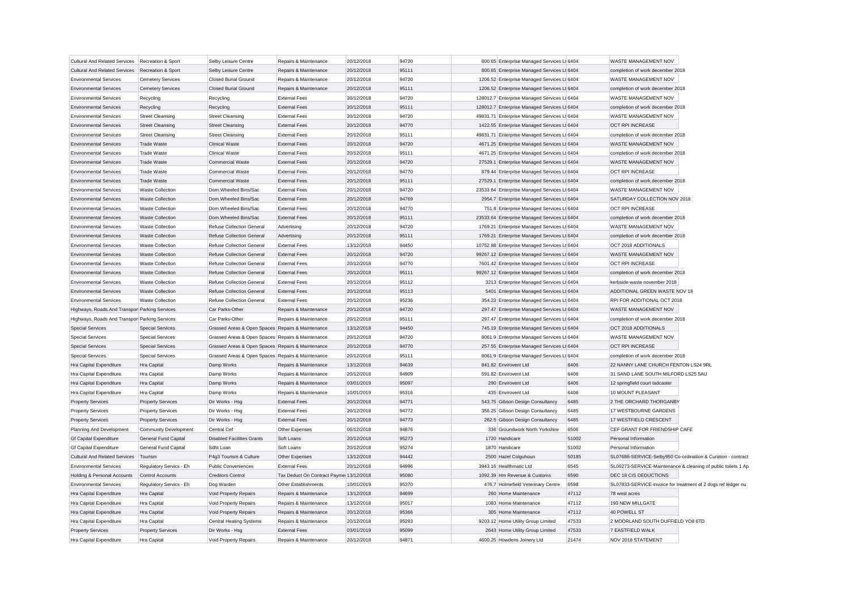| Cultural And Related Services   Recreation & Sport |                              | Selby Leisure Centre                              | Repairs & Maintenance                   | 20/12/2018 | 94720 | 800.65 Enterprise Managed Services Lt 6404   |       | WASTE MANAGEMENT NOV                 |                                                               |
|----------------------------------------------------|------------------------------|---------------------------------------------------|-----------------------------------------|------------|-------|----------------------------------------------|-------|--------------------------------------|---------------------------------------------------------------|
| <b>Cultural And Related Services</b>               | Recreation & Sport           | Selby Leisure Centre                              | Repairs & Maintenance                   | 20/12/2018 | 95111 | 800.65 Enterprise Managed Services Lt 6404   |       | completion of work december 2018     |                                                               |
| <b>Environmental Services</b>                      | <b>Cemetery Services</b>     | <b>Closed Burial Ground</b>                       | Repairs & Maintenance                   | 20/12/2018 | 94720 | 1206.52 Enterprise Managed Services Lt 6404  |       | WASTE MANAGEMENT NOV                 |                                                               |
| <b>Environmental Services</b>                      | <b>Cemetery Services</b>     | <b>Closed Burial Ground</b>                       | Repairs & Maintenance                   | 20/12/2018 | 95111 | 1206.52 Enterprise Managed Services Lt 6404  |       | completion of work december 2018     |                                                               |
| <b>Environmental Services</b>                      | Recycling                    | Recycling                                         | <b>External Fees</b>                    | 20/12/2018 | 94720 | 128012.7 Enterprise Managed Services Lt 6404 |       | WASTE MANAGEMENT NOV                 |                                                               |
| <b>Environmental Services</b>                      | Recycling                    | Recycling                                         | <b>External Fees</b>                    | 20/12/2018 | 95111 | 128012.7 Enterprise Managed Services Lt 6404 |       | completion of work december 2018     |                                                               |
| <b>Environmental Services</b>                      | <b>Street Cleansing</b>      | <b>Street Cleansing</b>                           | <b>External Fees</b>                    | 20/12/2018 | 94720 | 49831.71 Enterprise Managed Services Lt 6404 |       | WASTE MANAGEMENT NOV                 |                                                               |
| <b>Environmental Services</b>                      | <b>Street Cleansing</b>      | <b>Street Cleansing</b>                           | <b>External Fees</b>                    | 20/12/2018 | 94770 | 1422.55 Enterprise Managed Services Lt 6404  |       | OCT RPI INCREASE                     |                                                               |
| <b>Environmental Services</b>                      | <b>Street Cleansing</b>      | <b>Street Cleansing</b>                           | <b>External Fees</b>                    | 20/12/2018 | 95111 | 49831.71 Enterprise Managed Services Lt 6404 |       | completion of work december 2018     |                                                               |
| <b>Environmental Services</b>                      | Trade Waste                  | <b>Clinical Waste</b>                             | <b>External Fees</b>                    | 20/12/2018 | 94720 | 4671.25 Enterprise Managed Services Lt 6404  |       | WASTE MANAGEMENT NOV                 |                                                               |
| <b>Environmental Services</b>                      | <b>Trade Waste</b>           | <b>Clinical Waste</b>                             | <b>External Fees</b>                    | 20/12/2018 | 95111 | 4671.25 Enterprise Managed Services Lt 6404  |       | completion of work december 2018     |                                                               |
| <b>Environmental Services</b>                      | Trade Waste                  | <b>Commercial Waste</b>                           | <b>External Fees</b>                    | 20/12/2018 | 94720 | 27529.1 Enterprise Managed Services Lt 6404  |       | WASTE MANAGEMENT NOV                 |                                                               |
| <b>Environmental Services</b>                      | <b>Trade Waste</b>           | <b>Commercial Waste</b>                           | <b>External Fees</b>                    | 20/12/2018 | 94770 | 879.44 Enterprise Managed Services Lt 6404   |       | OCT RPI INCREASE                     |                                                               |
| <b>Environmental Services</b>                      | <b>Trade Waste</b>           | <b>Commercial Waste</b>                           | <b>External Fees</b>                    | 20/12/2018 | 95111 | 27529.1 Enterprise Managed Services Lt 6404  |       | completion of work december 2018     |                                                               |
| <b>Environmental Services</b>                      | <b>Waste Collection</b>      | Dom.Wheeled Bins/Sac                              | <b>External Fees</b>                    | 20/12/2018 | 94720 | 23533.64 Enterprise Managed Services Lt 6404 |       | WASTE MANAGEMENT NOV                 |                                                               |
| <b>Environmental Services</b>                      | <b>Waste Collection</b>      | Dom.Wheeled Bins/Sac                              | <b>External Fees</b>                    | 20/12/2018 | 94769 | 2954.7 Enterprise Managed Services Lt 6404   |       | SATURDAY COLLECTION NOV 2018         |                                                               |
| <b>Environmental Services</b>                      | <b>Waste Collection</b>      | Dom.Wheeled Bins/Sac                              | <b>External Fees</b>                    | 20/12/2018 | 94770 | 751.8 Enterprise Managed Services Lt 6404    |       | <b>OCT RPI INCREASE</b>              |                                                               |
| <b>Environmental Services</b>                      | <b>Waste Collection</b>      | Dom.Wheeled Bins/Sac                              | <b>External Fees</b>                    | 20/12/2018 | 95111 | 23533.64 Enterprise Managed Services Lt 6404 |       | completion of work december 2018     |                                                               |
| <b>Environmental Services</b>                      | <b>Waste Collection</b>      | Refuse Collection General                         | Advertising                             | 20/12/2018 | 94720 | 1769.21 Enterprise Managed Services Lt 6404  |       | WASTE MANAGEMENT NOV                 |                                                               |
| <b>Environmental Services</b>                      | <b>Waste Collection</b>      | Refuse Collection General                         | Advertising                             | 20/12/2018 | 95111 | 1769.21 Enterprise Managed Services Lt 6404  |       | completion of work december 2018     |                                                               |
| <b>Environmental Services</b>                      | <b>Waste Collection</b>      | Refuse Collection General                         | <b>External Fees</b>                    | 13/12/2018 | 94450 | 10752.88 Enterprise Managed Services Lt 6404 |       | OCT 2018 ADDITIONALS                 |                                                               |
| <b>Environmental Services</b>                      | <b>Waste Collection</b>      | Refuse Collection General                         | <b>External Fees</b>                    | 20/12/2018 | 94720 | 99267.12 Enterprise Managed Services Lt 6404 |       | WASTE MANAGEMENT NOV                 |                                                               |
| <b>Environmental Services</b>                      | <b>Waste Collection</b>      | <b>Refuse Collection General</b>                  | <b>External Fees</b>                    | 20/12/2018 | 94770 | 7601.42 Enterprise Managed Services Lt 6404  |       | <b>OCT RPI INCREASE</b>              |                                                               |
| <b>Environmental Services</b>                      | <b>Waste Collection</b>      | Refuse Collection General                         | <b>External Fees</b>                    | 20/12/2018 | 95111 | 99267.12 Enterprise Managed Services Lt 6404 |       | completion of work december 2018     |                                                               |
| <b>Environmental Services</b>                      | <b>Waste Collection</b>      | Refuse Collection General                         | <b>External Fees</b>                    | 20/12/2018 | 95112 | 3213 Enterprise Managed Services Lt 6404     |       | kerbside waste november 2018         |                                                               |
| <b>Environmental Services</b>                      | <b>Waste Collection</b>      | Refuse Collection General                         | <b>External Fees</b>                    | 20/12/2018 | 95113 | 5401 Enterprise Managed Services Lt 6404     |       | ADDITIONAL GREEN WASTE NOV 18        |                                                               |
| <b>Environmental Services</b>                      | <b>Waste Collection</b>      | Refuse Collection General                         | <b>External Fees</b>                    | 20/12/2018 | 95236 | 354.23 Enterprise Managed Services Lt 6404   |       | RPI FOR ADDITIONAL OCT 2018          |                                                               |
| Highways, Roads And Transpor Parking Services      |                              | Car Parks-Other                                   | Repairs & Maintenance                   | 20/12/2018 | 94720 | 297.47 Enterprise Managed Services Lt 6404   |       | WASTE MANAGEMENT NOV                 |                                                               |
| Highways, Roads And Transpor Parking Services      |                              | Car Parks-Other                                   | Repairs & Maintenance                   | 20/12/2018 | 95111 | 297.47 Enterprise Managed Services Lt 6404   |       | completion of work december 2018     |                                                               |
| <b>Special Services</b>                            | <b>Special Services</b>      | Grassed Areas & Open Spaces Repairs & Maintenance |                                         | 13/12/2018 | 94450 | 745.19 Enterprise Managed Services Lt 6404   |       | OCT 2018 ADDITIONALS                 |                                                               |
| Special Services                                   | <b>Special Services</b>      | Grassed Areas & Open Spaces Repairs & Maintenance |                                         | 20/12/2018 | 94720 | 8061.9 Enterprise Managed Services Lt 6404   |       | WASTE MANAGEMENT NOV                 |                                                               |
| <b>Special Services</b>                            | <b>Special Services</b>      | Grassed Areas & Open Spaces Repairs & Maintenance |                                         | 20/12/2018 | 94770 | 257.55 Enterprise Managed Services Lt 6404   |       | OCT RPI INCREASE                     |                                                               |
| <b>Special Services</b>                            | <b>Special Services</b>      | Grassed Areas & Open Spaces Repairs & Maintenance |                                         | 20/12/2018 | 95111 | 8061.9 Enterprise Managed Services Lt 6404   |       | completion of work december 2018     |                                                               |
| Hra Capital Expenditure                            | Hra Capital                  | Damp Works                                        | Repairs & Maintenance                   | 13/12/2018 | 94639 | 841.82 Envirovent Ltd                        | 6406  | 22 NANNY LANE CHURCH FENTON LS24 9RL |                                                               |
| Hra Capital Expenditure                            | Hra Capital                  | Damp Works                                        | Repairs & Maintenance                   | 20/12/2018 | 94909 | 591.82 Envirovent Ltd                        | 6406  | 31 SAND LANE SOUTH MILFORD LS25 5AU  |                                                               |
| Hra Capital Expenditure                            | Hra Capital                  | Damp Works                                        | Repairs & Maintenance                   | 03/01/2019 | 95097 | 290 Envirovent Ltd                           | 6406  | 12 springfield court tadcaster       |                                                               |
| Hra Capital Expenditure                            | Hra Capital                  | Damp Works                                        | Repairs & Maintenance                   | 10/01/2019 | 95316 | 435 Envirovent Ltd                           | 6406  | 10 MOUNT PLEASANT                    |                                                               |
| <b>Property Services</b>                           | <b>Property Services</b>     | Dir Works - Hsg                                   | <b>External Fees</b>                    | 20/12/2018 | 94771 | 543.75 Gibson Design Consultancy             | 6485  | 2 THE ORCHARD THORGANBY              |                                                               |
| <b>Property Services</b>                           | <b>Property Services</b>     | Dir Works - Hsg                                   | <b>External Fees</b>                    | 20/12/2018 | 94772 | 356.25 Gibson Design Consultancy             | 6485  | 17 WESTBOURNE GARDENS                |                                                               |
| <b>Property Services</b>                           | <b>Property Services</b>     | Dir Works - Hsg                                   | <b>External Fees</b>                    | 20/12/2018 | 94773 | 262.5 Gibson Design Consultancy              | 6485  | 17 WESTFIELD CRESCENT                |                                                               |
| Planning And Development                           | <b>Community Development</b> | Central Cef                                       | Other Expenses                          | 06/12/2018 | 94876 | 336 Groundwork North Yorkshire               | 6506  | CEF GRANT FOR FRIENDSHIP CAFE        |                                                               |
| <b>Gf Capital Expenditure</b>                      | <b>General Fund Capital</b>  | <b>Disabled Facilities Grants</b>                 | Soft Loans                              | 20/12/2018 | 95273 | 1720 Handicare                               | 51002 | Personal Information                 |                                                               |
| <b>Gf Capital Expenditure</b>                      | General Fund Capital         | Sdht Loan                                         | Soft Loans                              | 20/12/2018 | 95274 | 1870 Handicare                               | 51002 | Personal Information                 |                                                               |
| <b>Cultural And Related Services</b>               | Tourism                      | P4g3 Tourism & Culture                            | Other Expenses                          | 13/12/2018 | 94442 | 2500 Hazel Colguhoun                         | 50185 |                                      | SL07686-SERVICE-Selby950 Co-ordination & Curation - contract  |
| <b>Environmental Services</b>                      | Regulatory Servics - Eh      | <b>Public Conveniences</b>                        | <b>External Fees</b>                    | 20/12/2018 | 94996 | 3943.16 Healthmatic Ltd                      | 6545  |                                      | SL06273-SERVICE-Maintenance & cleaning of public toilets 1 Ap |
| Holding & Personal Accounts                        | Control Accounts             | <b>Creditors Control</b>                          | Tax Deduct On Contract Payme 13/12/2018 |            | 95080 | 1092.39 Hm Revenue & Customs                 | 6590  | DEC 18 CIS DEDUCTIONS                |                                                               |
| <b>Environmental Services</b>                      | Regulatory Servics - Eh      | Dog Warden                                        | Other Establishments                    | 10/01/2019 | 95370 | 476.7 Holmefield Veterinary Centre           | 6598  |                                      | SL07833-SERVICE-invoice for treatment of 2 dogs ref ledger nu |
| Hra Capital Expenditure                            | Hra Capital                  | Void Property Repairs                             | Repairs & Maintenance                   | 13/12/2018 | 94699 | 260 Home Maintenance                         | 47112 | 78 west acres                        |                                                               |
| Hra Capital Expenditure                            | Hra Capital                  | Void Property Repairs                             | Repairs & Maintenance                   | 13/12/2018 | 95017 | 1083 Home Maintenance                        | 47112 | 193 NEW MILLGATE                     |                                                               |
| Hra Capital Expenditure                            | Hra Capital                  | Void Property Repairs                             | Repairs & Maintenance                   | 20/12/2018 | 95366 | 305 Home Maintenance                         | 47112 | 40 POWELL ST                         |                                                               |
| Hra Capital Expenditure                            | Hra Capital                  | <b>Central Heating Systems</b>                    | Repairs & Maintenance                   | 20/12/2018 | 95293 | 9203.12 Home Utility Group Limited           | 47533 | 2 MOORLAND SOUTH DUFFIELD YO8 6TD    |                                                               |
| <b>Property Services</b>                           | <b>Property Services</b>     | Dir Works - Hsg                                   | <b>External Fees</b>                    | 03/01/2019 | 95099 | 2643 Home Utility Group Limited              | 47533 | 7 EASTFIELD WALK                     |                                                               |
| Hra Capital Expenditure                            | Hra Capital                  | Void Property Repairs                             | Repairs & Maintenance                   | 20/12/2018 | 94871 | 4600.25 Howdens Joinery Ltd                  | 21474 | NOV 2018 STATEMENT                   |                                                               |
|                                                    |                              |                                                   |                                         |            |       |                                              |       |                                      |                                                               |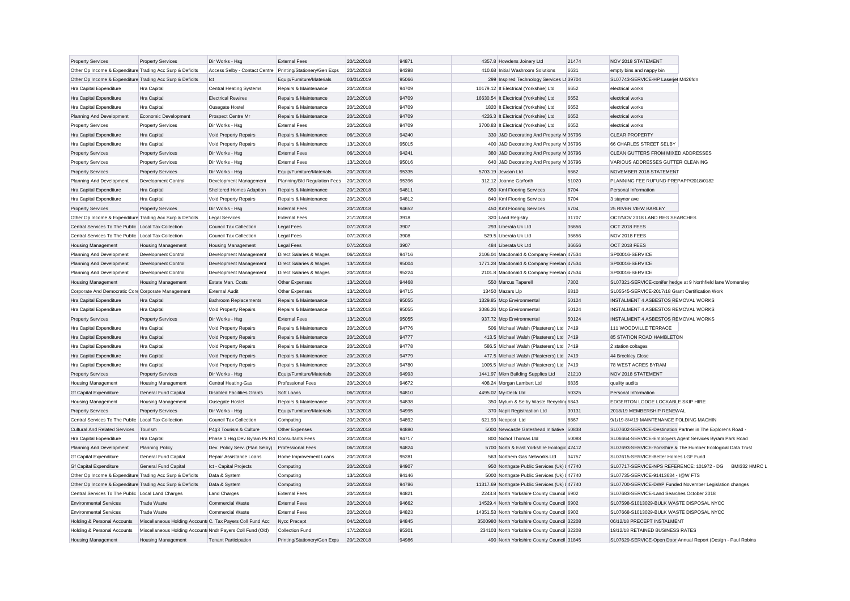| <b>Property Services</b>                                  | <b>Property Services</b>                                   | Dir Works - Hsg                                | <b>External Fees</b>                         | 20/12/2018 | 94871 | 4357.8 Howdens Joinery Ltd                      | 21474 | NOV 2018 STATEMENT                                                                      |                                                               |
|-----------------------------------------------------------|------------------------------------------------------------|------------------------------------------------|----------------------------------------------|------------|-------|-------------------------------------------------|-------|-----------------------------------------------------------------------------------------|---------------------------------------------------------------|
| Other Op Income & Expenditure Trading Acc Surp & Deficits |                                                            | Access Selby - Contact Centre                  | Printing/Stationery/Gen Exps                 | 20/12/2018 | 94398 | 410.68 Initial Washroom Solutions               | 6631  | empty bins and nappy bin                                                                |                                                               |
| Other Op Income & Expenditure Trading Acc Surp & Deficits |                                                            | Ict                                            | Equip/Furniture/Materials                    | 03/01/2019 | 95066 | 299 Inspired Technology Services Lt 39704       |       | SL07743-SERVICE-HP Laserjet M426fdn                                                     |                                                               |
| Hra Capital Expenditure                                   | Hra Capital                                                | <b>Central Heating Systems</b>                 | Repairs & Maintenance                        | 20/12/2018 | 94709 | 10179.12 It Electrical (Yorkshire) Ltd          | 6652  | electrical works                                                                        |                                                               |
| Hra Capital Expenditure                                   | Hra Capital                                                | <b>Electrical Rewires</b>                      | Repairs & Maintenance                        | 20/12/2018 | 94709 | 16630.54 It Electrical (Yorkshire) Ltd          | 6652  | electrical works                                                                        |                                                               |
| Hra Capital Expenditure                                   | Hra Capital                                                | Ousegate Hostel                                | Repairs & Maintenance                        | 20/12/2018 | 94709 | 1820 It Electrical (Yorkshire) Ltd              | 6652  | electrical works                                                                        |                                                               |
| Planning And Development                                  | Economic Development                                       | Prospect Centre Mr                             | Repairs & Maintenance                        | 20/12/2018 | 94709 | 4226.3 It Electrical (Yorkshire) Ltd            | 6652  | electrical works                                                                        |                                                               |
| <b>Property Services</b>                                  | <b>Property Services</b>                                   | Dir Works - Hsg                                | <b>External Fees</b>                         | 20/12/2018 | 94709 | 3700.83 It Electrical (Yorkshire) Ltd           | 6652  | electrical works                                                                        |                                                               |
| Hra Capital Expenditure                                   | Hra Capital                                                | Void Property Repairs                          | Repairs & Maintenance                        | 06/12/2018 | 94240 | 330 J&D Decorating And Property M 36796         |       | <b>CLEAR PROPERTY</b>                                                                   |                                                               |
| Hra Capital Expenditure                                   | Hra Capital                                                | Void Property Repairs                          | Repairs & Maintenance                        | 13/12/2018 | 95015 | 400 J&D Decorating And Property M 36796         |       | 66 CHARLES STREET SELBY                                                                 |                                                               |
| <b>Property Services</b>                                  | <b>Property Services</b>                                   | Dir Works - Hsg                                | <b>External Fees</b>                         | 06/12/2018 | 94241 | 380 J&D Decorating And Property M 36796         |       | CLEAN GUTTERS FROM MIXED ADDRESSES                                                      |                                                               |
| <b>Property Services</b>                                  | <b>Property Services</b>                                   | Dir Works - Hsg                                | <b>External Fees</b>                         | 13/12/2018 | 95016 | 640 J&D Decorating And Property M 36796         |       | VARIOUS ADDRESSES GUTTER CLEANING                                                       |                                                               |
| <b>Property Services</b>                                  | <b>Property Services</b>                                   | Dir Works - Hsg                                | Equip/Furniture/Materials                    | 20/12/2018 | 95335 | 5703.19 Jewson Ltd                              | 6662  | NOVEMBER 2018 STATEMENT                                                                 |                                                               |
| Planning And Development                                  | Development Control                                        | Development Management                         | Planning/Bld Regulation Fees                 | 20/12/2018 | 95396 | 312.12 Joanne Garforth                          | 51020 | PLANNING FEE RUFUND PREPAPP/2018/0182                                                   |                                                               |
| Hra Capital Expenditure                                   | Hra Capital                                                | Sheltered Homes Adaption                       | Repairs & Maintenance                        | 20/12/2018 | 94811 | 650 Kml Flooring Services                       | 6704  | Personal Information                                                                    |                                                               |
| Hra Capital Expenditure                                   | Hra Capital                                                | Void Property Repairs                          | Repairs & Maintenance                        | 20/12/2018 | 94812 | 840 Kml Flooring Services                       | 6704  | 3 staynor ave                                                                           |                                                               |
| <b>Property Services</b>                                  | <b>Property Services</b>                                   | Dir Works - Hsg                                | <b>External Fees</b>                         | 20/12/2018 | 94652 | 450 Kml Flooring Services                       | 6704  | 25 RIVER VIEW BARLBY                                                                    |                                                               |
| Other Op Income & Expenditure Trading Acc Surp & Deficits |                                                            | <b>Legal Services</b>                          | <b>External Fees</b>                         | 21/12/2018 | 3918  | 320 Land Registry                               | 31707 | OCT/NOV 2018 LAND REG SEARCHES                                                          |                                                               |
| Central Services To The Public Local Tax Collection       |                                                            | <b>Council Tax Collection</b>                  | <b>Legal Fees</b>                            | 07/12/2018 | 3907  | 293 Liberata Uk Ltd                             | 36656 | OCT 2018 FEES                                                                           |                                                               |
| Central Services To The Public Local Tax Collection       |                                                            | <b>Council Tax Collection</b>                  | <b>Legal Fees</b>                            | 07/12/2018 | 3908  | 529.5 Liberata Uk Ltd                           | 36656 | NOV 2018 FEES                                                                           |                                                               |
| <b>Housing Management</b>                                 | <b>Housing Management</b>                                  | <b>Housing Management</b>                      | <b>Legal Fees</b>                            | 07/12/2018 | 3907  | 484 Liberata Uk Ltd                             | 36656 | OCT 2018 FEES                                                                           |                                                               |
| Planning And Development                                  | Development Control                                        | Development Management                         | Direct Salaries & Wages                      | 06/12/2018 | 94716 | 2106.04 Macdonald & Company Freelan 47534       |       | SP00016-SERVICE                                                                         |                                                               |
| Planning And Development                                  | Development Control                                        | Development Management                         | Direct Salaries & Wages                      | 13/12/2018 | 95004 | 1771.28 Macdonald & Company Freelan 47534       |       | SP00016-SERVICE                                                                         |                                                               |
| Planning And Development                                  | Development Control                                        | Development Management                         | Direct Salaries & Wages                      | 20/12/2018 | 95224 | 2101.8 Macdonald & Company Freelan 47534        |       | SP00016-SERVICE                                                                         |                                                               |
| <b>Housing Management</b>                                 | <b>Housing Management</b>                                  | Estate Man. Costs                              | Other Expenses                               | 13/12/2018 | 94468 | 550 Marcus Taperell                             | 7302  |                                                                                         | SL07321-SERVICE-conifer hedge at 9 Northfield lane Womersley  |
| Corporate And Democratic Core Corporate Management        |                                                            | <b>External Audit</b>                          | Other Expenses                               | 13/12/2018 | 94715 | 13450 Mazars Llp                                | 6810  | SL05545-SERVICE-2017/18 Grant Certification Work                                        |                                                               |
| Hra Capital Expenditure                                   | Hra Capital                                                | <b>Bathroom Replacements</b>                   | Repairs & Maintenance                        | 13/12/2018 | 95055 | 1329.85 Mcp Environmental                       | 50124 | INSTALMENT 4 ASBESTOS REMOVAL WORKS                                                     |                                                               |
| Hra Capital Expenditure                                   | Hra Capital                                                | Void Property Repairs                          | Repairs & Maintenance                        | 13/12/2018 | 95055 | 3086.26 Mcp Environmental                       | 50124 | INSTALMENT 4 ASBESTOS REMOVAL WORKS                                                     |                                                               |
| <b>Property Services</b>                                  | <b>Property Services</b>                                   | Dir Works - Hsg                                | <b>External Fees</b>                         | 13/12/2018 | 95055 | 937.72 Mcp Environmental                        | 50124 | <b>INSTALMENT 4 ASBESTOS REMOVAL WORKS</b>                                              |                                                               |
| Hra Capital Expenditure                                   | Hra Capital                                                | Void Property Repairs                          | Repairs & Maintenance                        | 20/12/2018 | 94776 | 506 Michael Walsh (Plasterers) Ltd 7419         |       | 111 WOODVILLE TERRACE                                                                   |                                                               |
| Hra Capital Expenditure                                   | Hra Capital                                                | Void Property Repairs                          | Repairs & Maintenance                        | 20/12/2018 | 94777 | 413.5 Michael Walsh (Plasterers) Ltd 7419       |       | 85 STATION ROAD HAMBLETON                                                               |                                                               |
| Hra Capital Expenditure                                   | Hra Capital                                                | Void Property Repairs                          | Repairs & Maintenance                        | 20/12/2018 | 94778 | 586.5 Michael Walsh (Plasterers) Ltd 7419       |       | 2 station coltages                                                                      |                                                               |
| Hra Capital Expenditure                                   | Hra Capital                                                | Void Property Repairs                          | Repairs & Maintenance                        | 20/12/2018 | 94779 | 477.5 Michael Walsh (Plasterers) Ltd 7419       |       | 44 Brockley Close                                                                       |                                                               |
| Hra Capital Expenditure                                   | Hra Capital                                                | Void Property Repairs                          | Repairs & Maintenance                        | 20/12/2018 | 94780 | 1005.5 Michael Walsh (Plasterers) Ltd 7419      |       | 78 WEST ACRES BYRAM                                                                     |                                                               |
| <b>Property Services</b>                                  | <b>Property Services</b>                                   | Dir Works - Hsg                                | Equip/Furniture/Materials                    | 20/12/2018 | 94993 | 1441.97 Mkm Building Supplies Ltd               | 21210 | NOV 2018 STATEMENT                                                                      |                                                               |
| <b>Housing Management</b>                                 | <b>Housing Management</b>                                  | Central Heating-Gas                            | <b>Professional Fees</b>                     | 20/12/2018 | 94672 | 408.24 Morgan Lambert Ltd                       | 6835  | quality audits                                                                          |                                                               |
| <b>Gf Capital Expenditure</b>                             | <b>General Fund Capital</b>                                | <b>Disabled Facilities Grants</b>              | Soft Loans                                   | 06/12/2018 | 94810 | 4495.02 My-Deck Ltd                             | 50325 | Personal Information                                                                    |                                                               |
| <b>Housing Management</b>                                 | <b>Housing Management</b>                                  | Ousegate Hostel                                | Repairs & Maintenance                        | 20/12/2018 | 94838 | 350 Mytum & Selby Waste Recycling 6843          |       | EDGERTON LODGE LOCKABLE SKIP HIRE                                                       |                                                               |
| <b>Property Services</b>                                  | <b>Property Services</b>                                   | Dir Works - Hsg                                | Equip/Furniture/Materials                    | 13/12/2018 | 94995 | 370 Napit Registrastion Ltd                     | 30131 | 2018/19 MEMBERSHIP RENEWAL                                                              |                                                               |
| Central Services To The Public Local Tax Collection       |                                                            | <b>Council Tax Collection</b>                  | Computing                                    | 20/12/2018 | 94892 | 621.93 Neopost Ltd                              | 6867  | 9/1/19-8/4/19 MAINTENANCE FOLDING MACHIN                                                |                                                               |
| <b>Cultural And Related Services</b>                      | Tourism                                                    | P4g3 Tourism & Culture                         | Other Expenses                               | 20/12/2018 | 94880 | 5000 Newcastle Gateshead Initiative             | 50838 | SL07602-SERVICE-Destination Partner in The Explorer's Road -                            |                                                               |
| Hra Capital Expenditure                                   | Hra Capital                                                | Phase 1 Hsg Dev Byram Pk Rd Consultants Fees   |                                              | 20/12/2018 | 94717 | 800 Nichol Thomas Ltd                           | 50088 |                                                                                         | SL06664-SERVICE-Employers Agent Services Byram Park Road      |
| Planning And Development                                  | <b>Planning Policy</b>                                     | Dev. Policy Serv. (Plan Selby)                 | <b>Professional Fees</b>                     | 06/12/2018 | 94824 | 5700 North & East Yorkshire Ecologic 42412      |       |                                                                                         | SL07693-SERVICE-Yorkshire & The Humber Ecological Data Trust  |
| <b>Gf Capital Expenditure</b>                             | General Fund Capital                                       | Repair Assistance Loans                        | Home Improvement Loans                       | 20/12/2018 | 95281 | 563 Northern Gas Networks Ltd                   | 34757 | SL07615-SERVICE-Better Homes LGF Fund                                                   |                                                               |
| <b>Gf Capital Expenditure</b>                             | <b>General Fund Capital</b>                                | Ict - Capital Projects                         | Computing                                    | 20/12/2018 | 94907 | 950 Northgate Public Services (Uk) I 47740      |       | SL07717-SERVICE-NPS REFERENCE: 101972 - DG                                              | BMI332 HMRC L                                                 |
| Other Op Income & Expenditure Trading Acc Surp & Deficits |                                                            | Data & System                                  | Computing                                    | 13/12/2018 | 94146 | 5000 Northgate Public Services (Uk) I 47740     |       | SL07735-SERVICE-91413634 - I@W FTS                                                      |                                                               |
| Other Op Income & Expenditure Trading Acc Surp & Deficits |                                                            | Data & System                                  |                                              | 20/12/2018 | 94786 | 11317.69 Northgate Public Services (Uk) I 47740 |       |                                                                                         | SL07700-SERVICE-DWP Funded November Legislation changes       |
| Central Services To The Public Local Land Charges         |                                                            |                                                | Computing                                    | 20/12/2018 | 94821 | 2243.8 North Yorkshire County Council 6902      |       |                                                                                         |                                                               |
| <b>Environmental Services</b>                             | <b>Trade Waste</b>                                         | <b>Land Charges</b><br><b>Commercial Waste</b> | <b>External Fees</b><br><b>External Fees</b> | 20/12/2018 | 94662 |                                                 |       | SL07683-SERVICE-Land Searches October 2018<br>SL07598-S1013029-BULK WASTE DISPOSAL NYCC |                                                               |
|                                                           |                                                            | <b>Commercial Waste</b>                        |                                              |            | 94823 | 14529.4 North Yorkshire County Council 6902     |       | SL07668-S1013029-BULK WASTE DISPOSAL NYCC                                               |                                                               |
| <b>Environmental Services</b>                             | <b>Trade Waste</b>                                         |                                                | <b>External Fees</b>                         | 20/12/2018 |       | 14351.53 North Yorkshire County Council 6902    |       |                                                                                         |                                                               |
| Holding & Personal Accounts                               | Miscellaneous Holding Accounts C. Tax Payers Coll Fund Acc |                                                | Nycc Precept                                 | 04/12/2018 | 94845 | 3500980 North Yorkshire County Council 32208    |       | 06/12/18 PRECEPT INSTALMENT                                                             |                                                               |
| Holding & Personal Accounts                               | Miscellaneous Holding Accounts Nndr Payers Coll Fund (Old) |                                                | <b>Collection Fund</b>                       | 17/12/2018 | 95301 | 234103 North Yorkshire County Council 32208     |       | 19/12/18 RETAINED BUSINESS RATES                                                        |                                                               |
| <b>Housing Management</b>                                 | <b>Housing Management</b>                                  | <b>Tenant Participation</b>                    | Printing/Stationery/Gen Exps                 | 20/12/2018 | 94986 | 490 North Yorkshire County Council 31845        |       |                                                                                         | SL07629-SERVICE-Open Door Annual Report (Design - Paul Robins |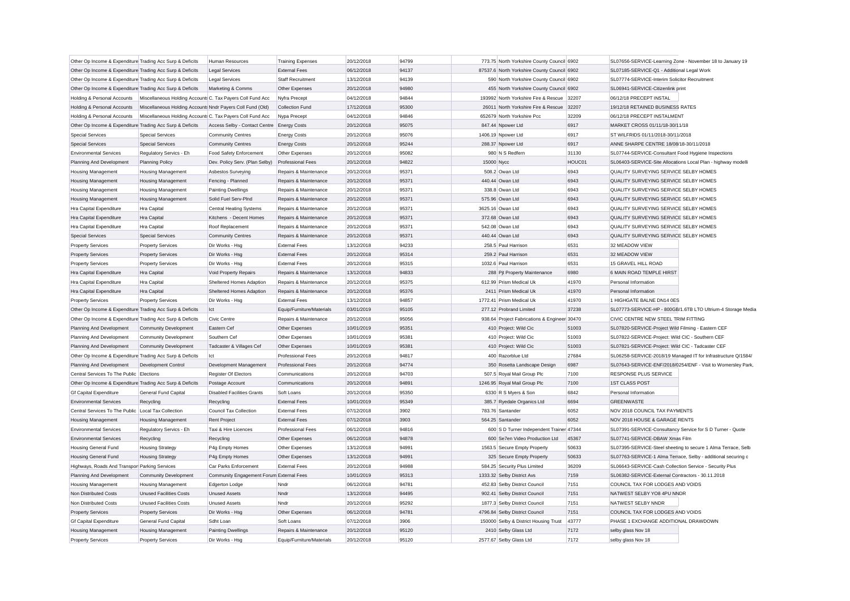| Other Op Income & Expenditure Trading Acc Surp & Deficits |                                                            | Human Resources                            | <b>Training Expenses</b>  | 20/12/2018 | 94799 |                  | 773.75 North Yorkshire County Council 6902      |        | SL07656-SERVICE-Learning Zone - November 18 to January 19     |                                                               |
|-----------------------------------------------------------|------------------------------------------------------------|--------------------------------------------|---------------------------|------------|-------|------------------|-------------------------------------------------|--------|---------------------------------------------------------------|---------------------------------------------------------------|
| Other Op Income & Expenditure Trading Acc Surp & Deficits |                                                            | <b>Legal Services</b>                      | <b>External Fees</b>      | 06/12/2018 | 94137 |                  | 87537.6 North Yorkshire County Council 6902     |        | SL07185-SERVICE-Q1 - Additional Legal Work                    |                                                               |
| Other Op Income & Expenditure Trading Acc Surp & Deficits |                                                            | <b>Legal Services</b>                      | Staff Recruitment         | 13/12/2018 | 94139 |                  | 590 North Yorkshire County Council 6902         |        | SL07774-SERVICE-Interim Solicitor Recruitment                 |                                                               |
| Other Op Income & Expenditure Trading Acc Surp & Deficits |                                                            | Marketing & Comms                          | Other Expenses            | 20/12/2018 | 94980 |                  | 455 North Yorkshire County Council 6902         |        | SL06941-SERVICE-Citizenlink print                             |                                                               |
| Holding & Personal Accounts                               | Miscellaneous Holding Accounts C. Tax Payers Coll Fund Acc |                                            | Nyfra Precept             | 04/12/2018 | 94844 |                  | 193992 North Yorkshire Fire & Rescue            | 32207  | 06/12/18 PRECEPT INSTAL                                       |                                                               |
| Holding & Personal Accounts                               | Miscellaneous Holding Accounts Nndr Payers Coll Fund (Old) |                                            | <b>Collection Fund</b>    | 17/12/2018 | 95300 |                  | 26011 North Yorkshire Fire & Rescue             | 32207  | 19/12/18 RETAINED BUSINESS RATES                              |                                                               |
| Holding & Personal Accounts                               | Miscellaneous Holding Accounts C. Tax Payers Coll Fund Acc |                                            | Nypa Precept              | 04/12/2018 | 94846 |                  | 652679 North Yorkshire Pcc                      | 32209  | 06/12/18 PRECEPT INSTALMENT                                   |                                                               |
| Other Op Income & Expenditure Trading Acc Surp & Deficits |                                                            | Access Selby - Contact Centre Energy Costs |                           | 20/12/2018 | 95075 |                  | 847.44 Npower Ltd                               | 6917   | MARKET CROSS 01/11/18-30/11/18                                |                                                               |
| <b>Special Services</b>                                   | <b>Special Services</b>                                    | <b>Community Centres</b>                   | <b>Energy Costs</b>       | 20/12/2018 | 95076 |                  | 1406.19 Npower Ltd                              | 6917   | ST WILFRIDS 01/11/2018-30/11/2018                             |                                                               |
| <b>Special Services</b>                                   | <b>Special Services</b>                                    | <b>Community Centres</b>                   | <b>Energy Costs</b>       | 20/12/2018 | 95244 |                  | 288.37 Npower Ltd                               | 6917   | ANNE SHARPE CENTRE 18/08/18-30/11/2018                        |                                                               |
| <b>Environmental Services</b>                             | Regulatory Servics - Eh                                    | Food Safety Enforcement                    | Other Expenses            | 20/12/2018 | 95082 |                  | 980 N S Redfern                                 | 31130  | SL07744-SERVICE-Consultant Food Hygiene Inspections           |                                                               |
| Planning And Development                                  | <b>Planning Policy</b>                                     | Dev. Policy Serv. (Plan Selby)             | <b>Professional Fees</b>  | 20/12/2018 | 94822 | 15000 Nycc       |                                                 | HOUC01 | SL06403-SERVICE-Site Allocations Local Plan - highway modelli |                                                               |
| Housing Management                                        | <b>Housing Management</b>                                  | Asbestos Surveying                         | Repairs & Maintenance     | 20/12/2018 | 95371 |                  | 508.2 Owan Ltd                                  | 6943   | QUALITY SURVEYING SERVICE SELBY HOMES                         |                                                               |
| <b>Housing Management</b>                                 | <b>Housing Management</b>                                  | Fencing - Planned                          | Repairs & Maintenance     | 20/12/2018 | 95371 |                  | 440.44 Owan Ltd                                 | 6943   | QUALITY SURVEYING SERVICE SELBY HOMES                         |                                                               |
| <b>Housing Management</b>                                 | <b>Housing Management</b>                                  | <b>Painting Dwellings</b>                  | Repairs & Maintenance     | 20/12/2018 | 95371 |                  | 338.8 Owan Ltd                                  | 6943   | QUALITY SURVEYING SERVICE SELBY HOMES                         |                                                               |
| <b>Housing Management</b>                                 | <b>Housing Management</b>                                  | Solid Fuel Serv-PInd                       | Repairs & Maintenance     | 20/12/2018 | 95371 |                  | 575.96 Owan Ltd                                 | 6943   | QUALITY SURVEYING SERVICE SELBY HOMES                         |                                                               |
| Hra Capital Expenditure                                   | Hra Capital                                                | <b>Central Heating Systems</b>             | Repairs & Maintenance     | 20/12/2018 | 95371 | 3625.16 Owan Ltd |                                                 | 6943   | QUALITY SURVEYING SERVICE SELBY HOMES                         |                                                               |
| Hra Capital Expenditure                                   | Hra Capital                                                | Kitchens - Decent Homes                    | Repairs & Maintenance     | 20/12/2018 | 95371 |                  | 372.68 Owan Ltd                                 | 6943   | QUALITY SURVEYING SERVICE SELBY HOMES                         |                                                               |
| Hra Capital Expenditure                                   | Hra Capital                                                | Roof Replacement                           | Repairs & Maintenance     | 20/12/2018 | 95371 | 542.08 Owan Ltd  |                                                 | 6943   | QUALITY SURVEYING SERVICE SELBY HOMES                         |                                                               |
| <b>Special Services</b>                                   | <b>Special Services</b>                                    | <b>Community Centres</b>                   | Repairs & Maintenance     | 20/12/2018 | 95371 |                  | 440.44 Owan Ltd                                 | 6943   | QUALITY SURVEYING SERVICE SELBY HOMES                         |                                                               |
| <b>Property Services</b>                                  | <b>Property Services</b>                                   | Dir Works - Hsg                            | <b>External Fees</b>      | 13/12/2018 | 94233 |                  | 258.5 Paul Harrison                             | 6531   | 32 MEADOW VIEW                                                |                                                               |
| <b>Property Services</b>                                  | <b>Property Services</b>                                   | Dir Works - Hsg                            | <b>External Fees</b>      | 20/12/2018 | 95314 |                  | 259.2 Paul Harrison                             | 6531   | 32 MEADOW VIEW                                                |                                                               |
|                                                           |                                                            |                                            | <b>External Fees</b>      |            | 95315 |                  | 1032.6 Paul Harrison                            | 6531   | 15 GRAVEL HILL ROAD                                           |                                                               |
| <b>Property Services</b>                                  | <b>Property Services</b>                                   | Dir Works - Hsg                            |                           | 20/12/2018 |       |                  |                                                 |        |                                                               |                                                               |
| Hra Capital Expenditure                                   | Hra Capital                                                | Void Property Repairs                      | Repairs & Maintenance     | 13/12/2018 | 94833 |                  | 288 Pjt Property Maintenance                    | 6980   | 6 MAIN ROAD TEMPLE HIRST                                      |                                                               |
| Hra Capital Expenditure                                   | Hra Capital                                                | Sheltered Homes Adaption                   | Repairs & Maintenance     | 20/12/2018 | 95375 |                  | 612.99 Prism Medical Uk                         | 41970  | Personal Information                                          |                                                               |
| Hra Capital Expenditure                                   | Hra Capital                                                | Sheltered Homes Adaption                   | Repairs & Maintenance     | 20/12/2018 | 95376 |                  | 2411 Prism Medical Uk                           | 41970  | Personal Information                                          |                                                               |
| <b>Property Services</b>                                  | <b>Property Services</b>                                   | Dir Works - Hsg                            | <b>External Fees</b>      | 13/12/2018 | 94857 |                  | 1772.41 Prism Medical Uk                        | 41970  | 1 HIGHGATE BALNE DN14 0ES                                     |                                                               |
| Other Op Income & Expenditure Trading Acc Surp & Deficits |                                                            | Ict                                        | Equip/Furniture/Materials | 03/01/2019 | 95105 |                  | 277.12 Probrand Limited                         | 37238  |                                                               | SL07773-SERVICE-HP - 800GB/1.6TB LTO Ultrium-4 Storage Media  |
| Other Op Income & Expenditure Trading Acc Surp & Deficits |                                                            | Civic Centre                               | Repairs & Maintenance     | 20/12/2018 | 95056 |                  | 938.64 Project Fabrications & Engineer 30470    |        | CIVIC CENTRE NEW STEEL TRIM FITTING                           |                                                               |
| Planning And Development                                  | <b>Community Development</b>                               | <b>Eastern Cef</b>                         | Other Expenses            | 10/01/2019 | 95351 |                  | 410 Project: Wild Cic                           | 51003  | SL07820-SERVICE-Project Wild Filming - Eastern CEF            |                                                               |
| Planning And Development                                  | <b>Community Development</b>                               | Southern Cef                               | Other Expenses            | 10/01/2019 | 95381 |                  | 410 Project: Wild Cic                           | 51003  | SL07822-SERVICE-Project: Wild CIC - Southern CEF              |                                                               |
| Planning And Development                                  | <b>Community Development</b>                               | Tadcaster & Villages Cef                   | Other Expenses            | 10/01/2019 | 95381 |                  | 410 Project: Wild Cic                           | 51003  | SL07821-SERVICE-Project: Wild CIC - Tadcaster CEF             |                                                               |
| Other Op Income & Expenditure Trading Acc Surp & Deficits |                                                            | Ict                                        | <b>Professional Fees</b>  | 20/12/2018 | 94817 |                  | 400 Razorblue Ltd                               | 27684  |                                                               | SL06258-SERVICE-2018/19 Managed IT for Infrastructure Q/1584/ |
| Planning And Development                                  | <b>Development Control</b>                                 | Development Management                     | <b>Professional Fees</b>  | 20/12/2018 | 94774 |                  | 350 Rosetta Landscape Design                    | 6987   |                                                               | SL07643-SERVICE-ENF/2018/0254/ENF - Visit to Womersley Park,  |
| Central Services To The Public Elections                  |                                                            | <b>Register Of Electors</b>                | Communications            | 20/12/2018 | 94703 |                  | 507.5 Royal Mail Group Plc                      | 7100   | RESPONSE PLUS SERVICE                                         |                                                               |
| Other Op Income & Expenditure Trading Acc Surp & Deficits |                                                            | Postage Account                            | Communications            | 20/12/2018 | 94891 |                  | 1246.95 Royal Mail Group Plc                    | 7100   | <b>1ST CLASS POST</b>                                         |                                                               |
| <b>Gf Capital Expenditure</b>                             | <b>General Fund Capital</b>                                | <b>Disabled Facilities Grants</b>          | Soft Loans                | 20/12/2018 | 95350 |                  | 6330 R S Myers & Son                            | 6842   | Personal Information                                          |                                                               |
| <b>Environmental Services</b>                             | Recycling                                                  | Recycling                                  | <b>External Fees</b>      | 10/01/2019 | 95349 |                  | 385.7 Ryedale Organics Ltd                      | 6694   | <b>GREENWASTE</b>                                             |                                                               |
| Central Services To The Public Local Tax Collection       |                                                            | Council Tax Collection                     | <b>External Fees</b>      | 07/12/2018 | 3902  |                  | 783.76 Santander                                | 6052   | NOV 2018 COUNCIL TAX PAYMENTS                                 |                                                               |
| <b>Housing Management</b>                                 | <b>Housing Management</b>                                  | <b>Rent Project</b>                        | <b>External Fees</b>      | 07/12/2018 | 3903  |                  | 564.25 Santander                                | 6052   | NOV 2018 HOUSE & GARAGE RENTS                                 |                                                               |
| <b>Environmental Services</b>                             | Regulatory Servics - Eh                                    | Taxi & Hire Licences                       | <b>Professional Fees</b>  | 06/12/2018 | 94816 |                  | 600 S D Turner Independent Trainer 47344        |        | SL07391-SERVICE-Consultancy Service for S D Turner - Quote    |                                                               |
| <b>Environmental Services</b>                             | Recycling                                                  | Recycling                                  | Other Expenses            | 06/12/2018 | 94878 |                  | 600 Se7en Video Production Ltd                  | 45367  | SL07741-SERVICE-DBAW Xmas Film                                |                                                               |
| <b>Housing General Fund</b>                               | <b>Housing Strategy</b>                                    | P4g Empty Homes                            | Other Expenses            | 13/12/2018 | 94991 |                  | 1563.5 Secure Empty Property                    | 50633  |                                                               | SL07395-SERVICE-Steel sheeting to secure 1 Alma Terrace, Selb |
| <b>Housing General Fund</b>                               | <b>Housing Strategy</b>                                    | P4g Empty Homes                            | Other Expenses            | 13/12/2018 | 94991 |                  | 325 Secure Empty Property                       | 50633  |                                                               | SL07763-SERVICE-1 Alma Terrace, Selby - additional securing c |
| Highways, Roads And Transpor Parking Services             |                                                            | Car Parks Enforcement                      | <b>External Fees</b>      | 20/12/2018 | 94988 |                  | 584.25 Security Plus Limited                    | 36209  | SL06643-SERVICE-Cash Collection Service - Security Plus       |                                                               |
| Planning And Development                                  | <b>Community Development</b>                               | Community Engagement Forum External Fees   |                           | 10/01/2019 | 95313 |                  | 1333.32 Selby District Avs                      | 7159   | SL06382-SERVICE-External Contractors - 30.11.2018             |                                                               |
| <b>Housing Management</b>                                 | <b>Housing Management</b>                                  | Edgerton Lodge                             | Nndr                      | 06/12/2018 | 94781 |                  | 452.83 Selby District Council                   | 7151   | COUNCIL TAX FOR LODGES AND VOIDS                              |                                                               |
| Non Distributed Costs                                     | <b>Unused Facilities Costs</b>                             | <b>Unused Assets</b>                       | Nndr                      | 13/12/2018 | 94495 |                  | 902.41 Selby District Council                   | 7151   | NATWEST SELBY YO8 4PU NNDR                                    |                                                               |
| Non Distributed Costs                                     | <b>Unused Facilities Costs</b>                             | <b>Unused Assets</b>                       | Nndr                      | 20/12/2018 | 95292 |                  | 1877.3 Selby District Council                   | 7151   | NATWEST SELBY NNDR                                            |                                                               |
|                                                           | <b>Property Services</b>                                   | Dir Works - Hsg                            | Other Expenses            | 06/12/2018 | 94781 |                  | 4796.84 Selby District Council                  | 7151   | COUNCIL TAX FOR LODGES AND VOIDS                              |                                                               |
| <b>Property Services</b><br><b>Gf Capital Expenditure</b> | General Fund Capital                                       | Sdht Loan                                  | Soft Loans                | 07/12/2018 | 3906  |                  | 150000 Selby & District Housing Trust           | 43777  | PHASE 1 EXCHANGE ADDITIONAL DRAWDOWN                          |                                                               |
|                                                           |                                                            |                                            |                           |            | 95120 |                  |                                                 | 7172   |                                                               |                                                               |
| <b>Housing Management</b>                                 | <b>Housing Management</b>                                  | <b>Painting Dwellings</b>                  | Repairs & Maintenance     | 20/12/2018 | 95120 |                  | 2410 Selby Glass Ltd<br>2577.67 Selby Glass Ltd | 7172   | selby glass Nov 18<br>selby glass Nov 18                      |                                                               |
| <b>Property Services</b>                                  | <b>Property Services</b>                                   | Dir Works - Hsg                            | Equip/Furniture/Materials | 20/12/2018 |       |                  |                                                 |        |                                                               |                                                               |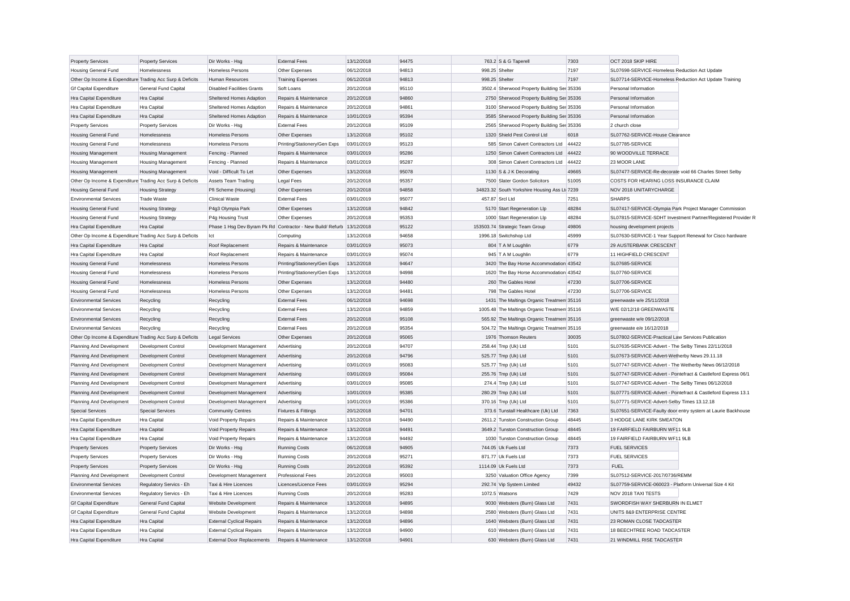| <b>Property Services</b>                                  | <b>Property Services</b>  | Dir Works - Hsg                   | <b>External Fees</b>                                                  | 13/12/2018 | 94475          |                 | 763.2 S & G Taperell                         | 7303  | OCT 2018 SKIP HIRE                                        |                                                               |
|-----------------------------------------------------------|---------------------------|-----------------------------------|-----------------------------------------------------------------------|------------|----------------|-----------------|----------------------------------------------|-------|-----------------------------------------------------------|---------------------------------------------------------------|
| <b>Housing General Fund</b>                               | Homelessness              | <b>Homeless Persons</b>           | Other Expenses                                                        | 06/12/2018 | 94813          | 998.25 Shelter  |                                              | 7197  | SL07698-SERVICE-Homeless Reduction Act Update             |                                                               |
| Other Op Income & Expenditure Trading Acc Surp & Deficits |                           | <b>Human Resources</b>            | <b>Training Expenses</b>                                              | 06/12/2018 | 94813          | 998.25 Shelter  |                                              | 7197  | SL07714-SERVICE-Homeless Reduction Act Update Training    |                                                               |
| <b>Gf Capital Expenditure</b>                             | General Fund Capital      | <b>Disabled Facilities Grants</b> | Soft Loans                                                            | 20/12/2018 | 95110          |                 | 3502.4 Sherwood Property Building Ser 35336  |       | Personal Information                                      |                                                               |
| <b>Hra Capital Expenditure</b>                            | <b>Hra</b> Capital        | Sheltered Homes Adaption          | Repairs & Maintenance                                                 | 20/12/2018 | 94860          |                 | 2750 Sherwood Property Building Ser 35336    |       | Personal Information                                      |                                                               |
| Hra Capital Expenditure                                   | <b>Hra Capital</b>        | Sheltered Homes Adaption          | Repairs & Maintenance                                                 | 20/12/2018 | 94861          |                 | 3100 Sherwood Property Building Ser 35336    |       | Personal Information                                      |                                                               |
| Hra Capital Expenditure                                   | Hra Capital               | Sheltered Homes Adaption          | Repairs & Maintenance                                                 | 10/01/2019 | 95394          |                 | 3585 Sherwood Property Building Ser 35336    |       | Personal Information                                      |                                                               |
| <b>Property Services</b>                                  | <b>Property Services</b>  | Dir Works - Hsg                   | <b>External Fees</b>                                                  | 20/12/2018 | 95109          |                 | 2565 Sherwood Property Building Ser 35336    |       | 2 church close                                            |                                                               |
| <b>Housing General Fund</b>                               | Homelessness              | <b>Homeless Persons</b>           | Other Expenses                                                        | 13/12/2018 | 95102          |                 | 1320 Shield Pest Control Ltd                 | 6018  | SL07762-SERVICE-House Clearance                           |                                                               |
| <b>Housing General Fund</b>                               | Homelessness              | <b>Homeless Persons</b>           | Printing/Stationery/Gen Exps                                          | 03/01/2019 | 95123          |                 | 585 Simon Calvert Contractors Ltd            | 44422 | SL07785-SERVICE                                           |                                                               |
| <b>Housing Management</b>                                 | <b>Housing Management</b> | Fencing - Planned                 | Repairs & Maintenance                                                 | 03/01/2019 | 95286          |                 | 1250 Simon Calvert Contractors Ltd           | 44422 | 90 WOODVILLE TERRACE                                      |                                                               |
| <b>Housing Management</b>                                 | <b>Housing Management</b> | Fencing - Planned                 | Repairs & Maintenance                                                 | 03/01/2019 | 95287          |                 | 308 Simon Calvert Contractors Ltd            | 44422 | 23 MOOR LANE                                              |                                                               |
| <b>Housing Management</b>                                 | <b>Housing Management</b> | Void - Difficult To Let           | Other Expenses                                                        | 13/12/2018 | 95078          |                 | 1130 S & J K Decorating                      | 49665 | SL07477-SERVICE-Re-decorate void 66 Charles Street Selby  |                                                               |
| Other Op Income & Expenditure Trading Acc Surp & Deficits |                           | Assets Team Trading               | Legal Fees                                                            | 20/12/2018 | 95357          |                 | 7500 Slater Gordon Solicitors                | 51005 | COSTS FOR HEARING LOSS INSURANCE CLAIM                    |                                                               |
| <b>Housing General Fund</b>                               | <b>Housing Strategy</b>   | Pfi Scheme (Housing)              | Other Expenses                                                        | 20/12/2018 | 94858          |                 | 34823.32 South Yorkshire Housing Ass Lt 7239 |       | NOV 2018 UNITARYCHARGE                                    |                                                               |
| <b>Environmental Services</b>                             | <b>Trade Waste</b>        | Clinical Waste                    | <b>External Fees</b>                                                  | 03/01/2019 | 95077          | 457.87 Srcl Ltd |                                              | 7251  | <b>SHARPS</b>                                             |                                                               |
| <b>Housing General Fund</b>                               | <b>Housing Strategy</b>   | P4g3 Olympia Park                 | Other Expenses                                                        | 13/12/2018 | 94842          |                 | 5170 Start Regeneration Llp                  | 48284 | SL07417-SERVICE-Olympia Park Project Manager Commission   |                                                               |
| <b>Housing General Fund</b>                               | <b>Housing Strategy</b>   | P4g Housing Trust                 | Other Expenses                                                        | 20/12/2018 | 95353          |                 | 1000 Start Regeneration Llp                  | 48284 |                                                           | SL07815-SERVICE-SDHT Investment Partner/Registered Provider R |
| <b>Hra Capital Expenditure</b>                            | <b>Hra</b> Capital        |                                   | Phase 1 Hsq Dev Byram Pk Rd Contractor - New Build/ Refurb 13/12/2018 |            | 95122          |                 | 153503.74 Strategic Team Group               | 49806 | housing development projects                              |                                                               |
| Other Op Income & Expenditure Trading Acc Surp & Deficits |                           | Ict                               | Computing                                                             | 13/12/2018 | 94658          |                 | 1996.18 Switchshop Ltd                       | 45999 | SL07630-SERVICE-1 Year Support Renewal for Cisco hardware |                                                               |
| Hra Capital Expenditure                                   | <b>Hra Capital</b>        | Roof Replacement                  | Repairs & Maintenance                                                 | 03/01/2019 | 95073          |                 | 804 T A M Loughlin                           | 6779  | 29 AUSTERBANK CRESCENT                                    |                                                               |
| Hra Capital Expenditure                                   | Hra Capital               | Roof Replacement                  | Repairs & Maintenance                                                 | 03/01/2019 | 95074          |                 | 945 T A M Loughlin                           | 6779  | 11 HIGHFIELD CRESCENT                                     |                                                               |
| <b>Housing General Fund</b>                               | Homelessness              | <b>Homeless Persons</b>           | Printing/Stationery/Gen Exps                                          | 13/12/2018 | 94647          |                 | 3420 The Bay Horse Accommodation 43542       |       | SL07685-SERVICE                                           |                                                               |
| <b>Housing General Fund</b>                               | Homelessness              | <b>Homeless Persons</b>           | Printing/Stationery/Gen Exps                                          | 13/12/2018 | 94998          |                 | 1620 The Bay Horse Accommodation 43542       |       | SL07760-SERVICE                                           |                                                               |
|                                                           | Homelessness              | <b>Homeless Persons</b>           | Other Expenses                                                        | 13/12/2018 | 94480          |                 | 260 The Gables Hotel                         | 47230 | SL07706-SERVICE                                           |                                                               |
| <b>Housing General Fund</b>                               |                           |                                   |                                                                       |            |                |                 |                                              |       |                                                           |                                                               |
| <b>Housing General Fund</b>                               | Homelessness              | <b>Homeless Persons</b>           | Other Expenses                                                        | 13/12/2018 | 94481          |                 | 798 The Gables Hotel                         | 47230 | SL07706-SERVICE                                           |                                                               |
| <b>Environmental Services</b>                             | Recycling                 | Recycling                         | <b>External Fees</b>                                                  | 06/12/2018 | 94698<br>94859 |                 | 1431 The Maltings Organic Treatmen 35116     |       | greenwaste w/e 25/11/2018<br>W/E 02/12/18 GREENWASTE      |                                                               |
| <b>Environmental Services</b>                             | Recycling                 | Recycling                         | <b>External Fees</b>                                                  | 13/12/2018 |                |                 | 1005.48 The Maltings Organic Treatmen 35116  |       |                                                           |                                                               |
| <b>Environmental Services</b>                             | Recycling                 | Recycling                         | <b>External Fees</b>                                                  | 20/12/2018 | 95108          |                 | 565.92 The Maltings Organic Treatmen 35116   |       | greenwaste w/e 09/12/2018                                 |                                                               |
| <b>Environmental Services</b>                             | Recycling                 | Recycling                         | <b>External Fees</b>                                                  | 20/12/2018 | 95354          |                 | 504.72 The Maltings Organic Treatmen 35116   |       | greenwaste e/e 16/12/2018                                 |                                                               |
| Other Op Income & Expenditure Trading Acc Surp & Deficits |                           | <b>Legal Services</b>             | Other Expenses                                                        | 20/12/2018 | 95065          |                 | 1976 Thomson Reuters                         | 30035 | SL07802-SERVICE-Practical Law Services Publication        |                                                               |
| Planning And Development                                  | Development Control       | Development Management            | Advertising                                                           | 20/12/2018 | 94707          |                 | 258.44 Tmp (Uk) Ltd                          | 5101  | SL07635-SERVICE-Advert - The Selby Times 22/11/2018       |                                                               |
| Planning And Development                                  | Development Control       | Development Management            | Advertising                                                           | 20/12/2018 | 94796          |                 | 525.77 Tmp (Uk) Ltd                          | 5101  | SL07673-SERVICE-Advert-Wetherby News 29.11.18             |                                                               |
| Planning And Development                                  | Development Control       | Development Management            | Advertising                                                           | 03/01/2019 | 95083          |                 | 525.77 Tmp (Uk) Ltd                          | 5101  | SL07747-SERVICE-Advert - The Wetherby News 06/12/2018     |                                                               |
| Planning And Development                                  | Development Control       | Development Management            | Advertising                                                           | 03/01/2019 | 95084          |                 | 255.76 Tmp (Uk) Ltd                          | 5101  |                                                           | SL07747-SERVICE-Advert - Pontefract & Castleford Express 06/1 |
| Planning And Development                                  | Development Control       | Development Management            | Advertising                                                           | 03/01/2019 | 95085          |                 | 274.4 Tmp (Uk) Ltd                           | 5101  | SL07747-SERVICE-Advert - The Selby Times 06/12/2018       |                                                               |
| Planning And Development                                  | Development Control       | Development Management            | Advertising                                                           | 10/01/2019 | 95385          |                 | 280.29 Tmp (Uk) Ltd                          | 5101  |                                                           | SL07771-SERVICE-Advert - Pontefract & Castleford Express 13.1 |
| Planning And Development                                  | Development Control       | Development Management            | Advertising                                                           | 10/01/2019 | 95386          |                 | 370.16 Tmp (Uk) Ltd                          | 5101  | SL07771-SERVICE-Advert-Selby Times 13.12.18               |                                                               |
| <b>Special Services</b>                                   | <b>Special Services</b>   | <b>Community Centres</b>          | Fixtures & Fittings                                                   | 20/12/2018 | 94701          |                 | 373.6 Tunstall Healthcare (Uk) Ltd           | 7363  |                                                           | SL07651-SERVICE-Faulty door entry system at Laurie Backhouse  |
| Hra Capital Expenditure                                   | <b>Hra Capital</b>        | Void Property Repairs             | Repairs & Maintenance                                                 | 13/12/2018 | 94490          |                 | 2611.2 Tunston Construction Group            | 48445 | 3 HODGE LANE KIRK SMEATON                                 |                                                               |
| Hra Capital Expenditure                                   | Hra Capital               | Void Property Repairs             | Repairs & Maintenance                                                 | 13/12/2018 | 94491          |                 | 3649.2 Tunston Construction Group            | 48445 | 19 FAIRFIELD FAIRBURN WF11 9LB                            |                                                               |
| Hra Capital Expenditure                                   | <b>Hra Capital</b>        | Void Property Repairs             | Repairs & Maintenance                                                 | 13/12/2018 | 94492          |                 | 1030 Tunston Construction Group              | 48445 | 19 FAIRFIELD FAIRBURN WF11 9LB                            |                                                               |
| <b>Property Services</b>                                  | <b>Property Services</b>  | Dir Works - Hsg                   | <b>Running Costs</b>                                                  | 06/12/2018 | 94905          |                 | 744.05 Uk Fuels Ltd                          | 7373  | <b>FUEL SERVICES</b>                                      |                                                               |
| <b>Property Services</b>                                  | <b>Property Services</b>  | Dir Works - Hsg                   | <b>Running Costs</b>                                                  | 20/12/2018 | 95271          |                 | 871.77 Uk Fuels Ltd                          | 7373  | <b>FUEL SERVICES</b>                                      |                                                               |
| <b>Property Services</b>                                  | <b>Property Services</b>  | Dir Works - Hsg                   | <b>Running Costs</b>                                                  | 20/12/2018 | 95392          |                 | 1114.09 Uk Fuels Ltd                         | 7373  | <b>FUEL</b>                                               |                                                               |
| Planning And Development                                  | Development Control       | Development Management            | <b>Professional Fees</b>                                              | 20/12/2018 | 95003          |                 | 3250 Valuation Office Agency                 | 7399  | SL07512-SERVICE-2017/0736/REMM                            |                                                               |
| <b>Environmental Services</b>                             | Regulatory Servics - Eh   | Taxi & Hire Licences              | Licences/Licence Fees                                                 | 03/01/2019 | 95294          |                 | 292.74 Vip System Limited                    | 49432 | SL07759-SERVICE-060023 - Platform Universal Size 4 Kit    |                                                               |
| <b>Environmental Services</b>                             | Regulatory Servics - Eh   | Taxi & Hire Licences              | <b>Running Costs</b>                                                  | 20/12/2018 | 95283          |                 | 1072.5 Watsons                               | 7429  | NOV 2018 TAXI TESTS                                       |                                                               |
| <b>Gf Capital Expenditure</b>                             | General Fund Capital      | Website Development               | Repairs & Maintenance                                                 | 13/12/2018 | 94895          |                 | 9030 Websters (Burn) Glass Ltd               | 7431  | SWORDFISH WAY SHERBURN IN ELMET                           |                                                               |
| <b>Gf Capital Expenditure</b>                             | General Fund Capital      | Website Development               | Repairs & Maintenance                                                 | 13/12/2018 | 94898          |                 | 2580 Websters (Burn) Glass Ltd               | 7431  | UNITS 8&9 ENTERPRISE CENTRE                               |                                                               |
| Hra Capital Expenditure                                   | Hra Capital               | <b>External Cyclical Repairs</b>  | Repairs & Maintenance                                                 | 13/12/2018 | 94896          |                 | 1640 Websters (Burn) Glass Ltd               | 7431  | 23 ROMAN CLOSE TADCASTER                                  |                                                               |
| Hra Capital Expenditure                                   | <b>Hra Capital</b>        | <b>External Cyclical Repairs</b>  | Repairs & Maintenance                                                 | 13/12/2018 | 94900          |                 | 610 Websters (Burn) Glass Ltd                | 7431  | 18 BEECHTREE ROAD TADCASTER                               |                                                               |
| Hra Capital Expenditure                                   | <b>Hra</b> Capital        | <b>External Door Replacements</b> | Repairs & Maintenance                                                 | 13/12/2018 | 94901          |                 | 630 Websters (Burn) Glass Ltd                | 7431  | 21 WINDMILL RISE TADCASTER                                |                                                               |